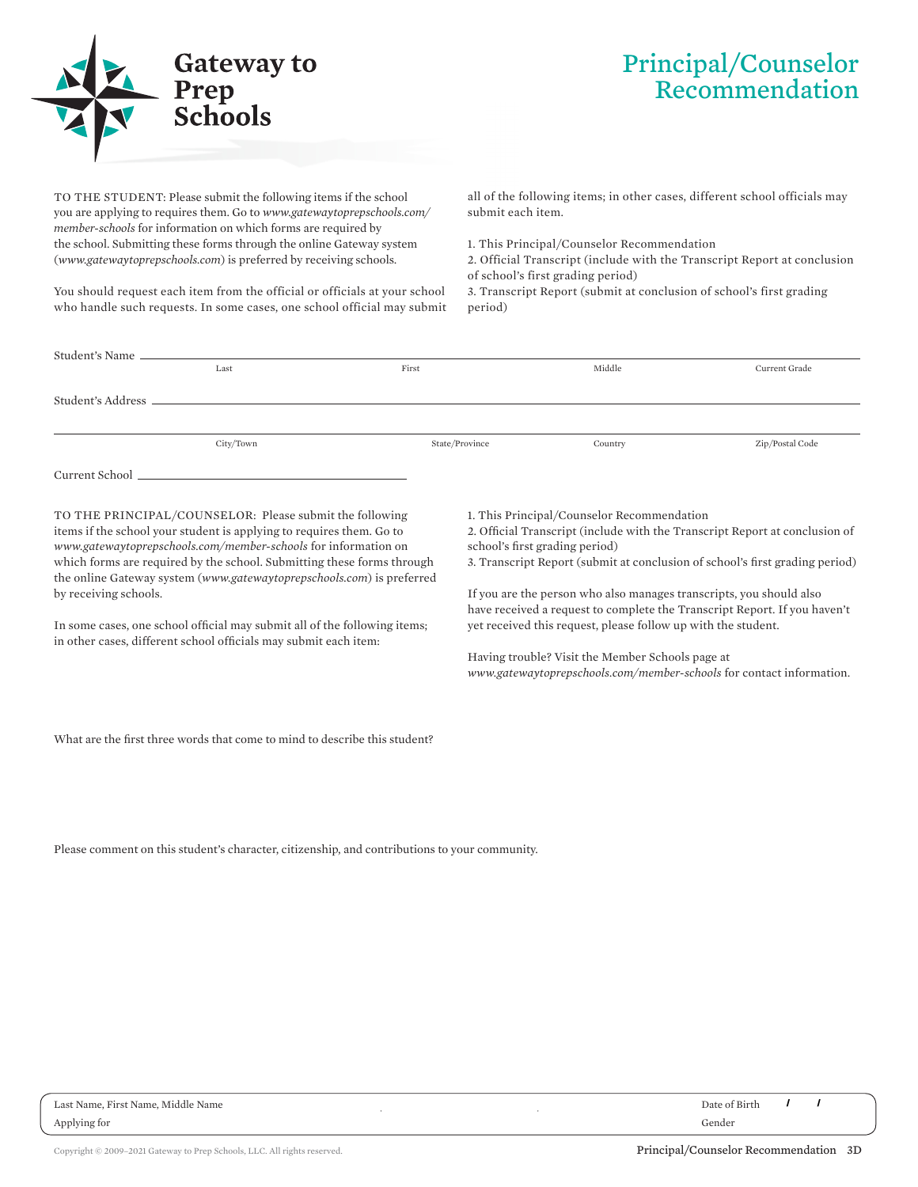

## Principal/Counselor Recommendation

TO THE STUDENT: Please submit the following items if the school you are applying to requires them. Go to *www.gatewaytoprepschools.com/ member-schools* for information on which forms are required by the school. Submitting these forms through the online Gateway system (*www.gatewaytoprepschools.com*) is preferred by receiving schools.

You should request each item from the official or officials at your school who handle such requests. In some cases, one school official may submit

all of the following items; in other cases, different school officials may submit each item.

1. This Principal/Counselor Recommendation

2. Official Transcript (include with the Transcript Report at conclusion of school's first grading period)

3. Transcript Report (submit at conclusion of school's first grading period)

| Last                                                    | First          | Middle                                     | Current Grade   |  |  |
|---------------------------------------------------------|----------------|--------------------------------------------|-----------------|--|--|
|                                                         |                |                                            |                 |  |  |
|                                                         |                |                                            |                 |  |  |
|                                                         |                |                                            |                 |  |  |
|                                                         |                |                                            |                 |  |  |
| City/Town                                               | State/Province | Country                                    | Zip/Postal Code |  |  |
|                                                         |                |                                            |                 |  |  |
|                                                         |                |                                            |                 |  |  |
|                                                         |                |                                            |                 |  |  |
|                                                         |                |                                            |                 |  |  |
| TO THE PRINCIPAL/COUNSELOR: Please submit the following |                | 1. This Principal/Counselor Recommendation |                 |  |  |

, ,

items if the school your student is applying to requires them. Go to *www.gatewaytoprepschools.com/member-schools* for information on which forms are required by the school. Submitting these forms through the online Gateway system (*www.gatewaytoprepschools.com*) is preferred by receiving schools.

In some cases, one school official may submit all of the following items; in other cases, different school officials may submit each item:

1. This Principal/Counselor Recommendation

2. Official Transcript (include with the Transcript Report at conclusion of school's first grading period)

3. Transcript Report (submit at conclusion of school's first grading period)

If you are the person who also manages transcripts, you should also have received a request to complete the Transcript Report. If you haven't yet received this request, please follow up with the student.

Having trouble? Visit the Member Schools page at *www.gatewaytoprepschools.com/member-schools* for contact information.

What are the first three words that come to mind to describe this student?

Please comment on this student's character, citizenship, and contributions to your community.

Last Name, First Name, Middle Name Date of Birth Applying for Gender

/ /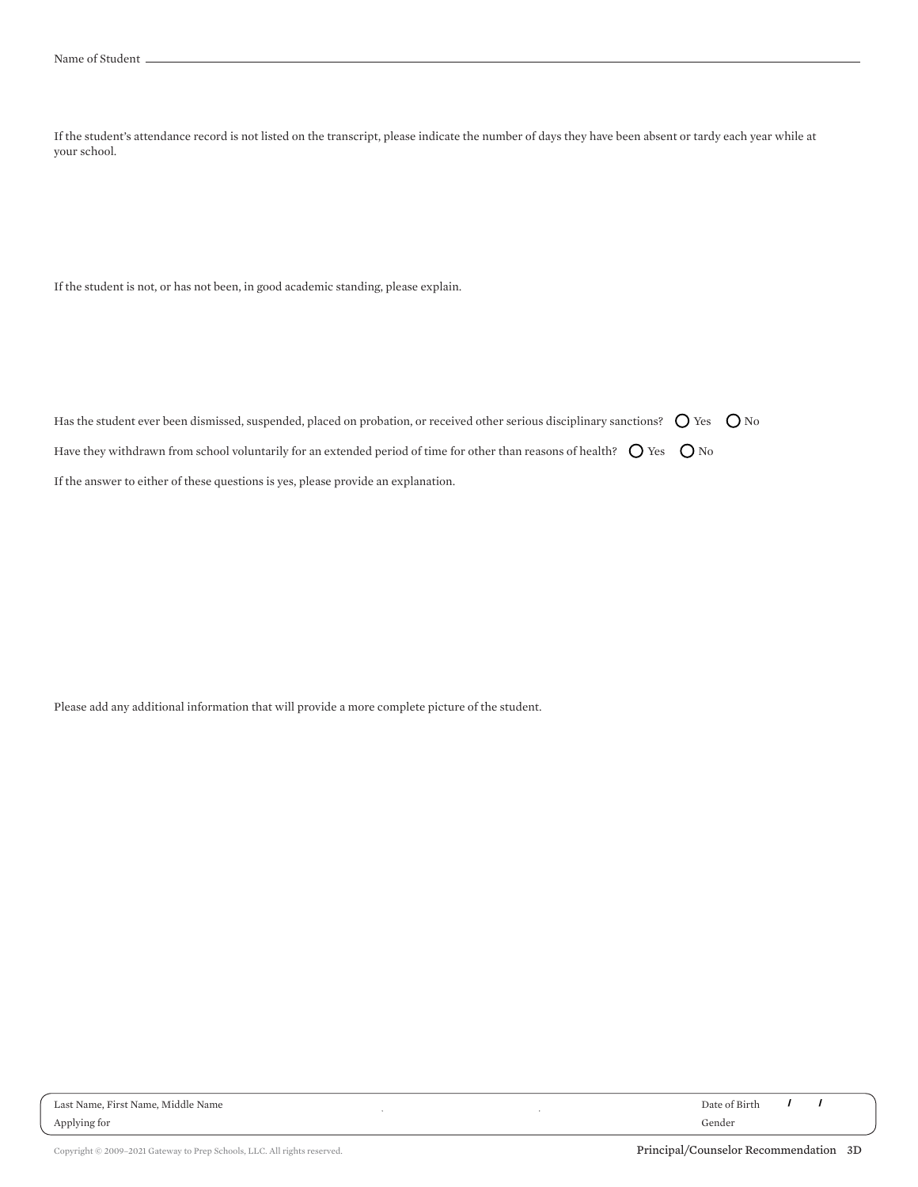If the student's attendance record is not listed on the transcript, please indicate the number of days they have been absent or tardy each year while at your school.

If the student is not, or has not been, in good academic standing, please explain.

| Has the student ever been dismissed, suspended, placed on probation, or received other serious disciplinary sanctions? $\bigcirc$ Yes $\bigcirc$ No |  |  |
|-----------------------------------------------------------------------------------------------------------------------------------------------------|--|--|
| Have they withdrawn from school voluntarily for an extended period of time for other than reasons of health? $\bigcirc$ Yes $\bigcirc$ No           |  |  |
| If the answer to either of these questions is yes, please provide an explanation.                                                                   |  |  |

,

,

Please add any additional information that will provide a more complete picture of the student.